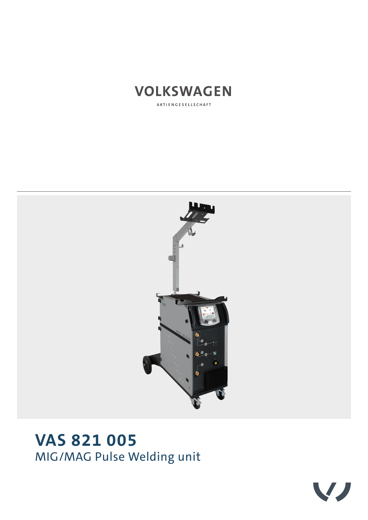

AKTIENGESELLSCHAFT



# **VAS 821 005** MIG/MAG Pulse Welding unit